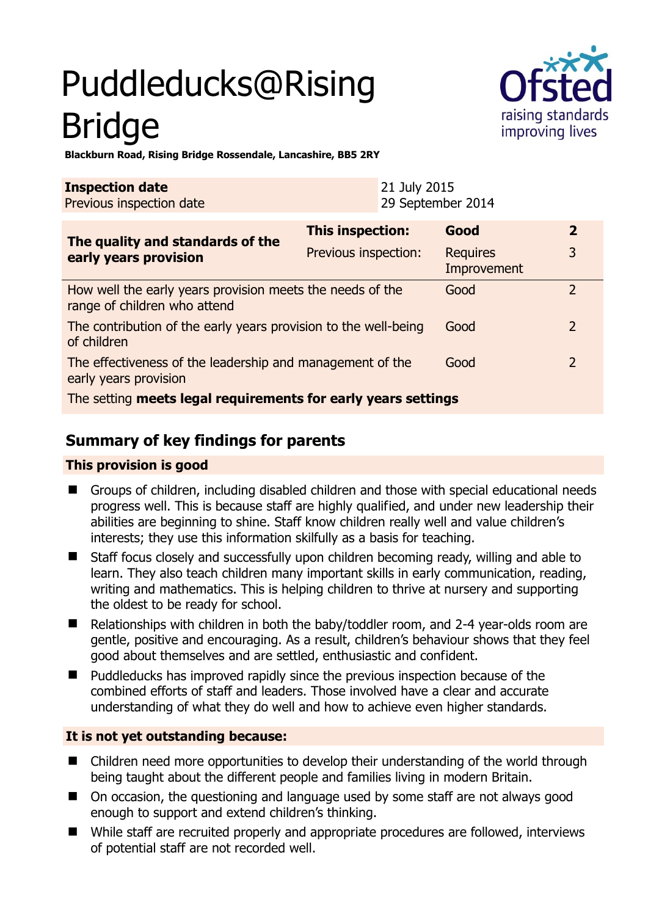# Puddleducks@Rising Bridge



**Blackburn Road, Rising Bridge Rossendale, Lancashire, BB5 2RY** 

| <b>Inspection date</b><br>Previous inspection date        | 21 July 2015         | 29 September 2014              |                |
|-----------------------------------------------------------|----------------------|--------------------------------|----------------|
| The quality and standards of the                          | This inspection:     | Good                           | $\overline{2}$ |
| early years provision                                     | Previous inspection: | <b>Requires</b><br>Improvement |                |
| How well the early years provision meets the needs of the |                      | Good                           |                |

range of children who attend The contribution of the early years provision to the well-being of children Good 2 Good 2

The effectiveness of the leadership and management of the early years provision

The setting **meets legal requirements for early years settings**

# **Summary of key findings for parents**

## **This provision is good**

- Groups of children, including disabled children and those with special educational needs progress well. This is because staff are highly qualified, and under new leadership their abilities are beginning to shine. Staff know children really well and value children's interests; they use this information skilfully as a basis for teaching.
- Staff focus closely and successfully upon children becoming ready, willing and able to learn. They also teach children many important skills in early communication, reading, writing and mathematics. This is helping children to thrive at nursery and supporting the oldest to be ready for school.
- Relationships with children in both the baby/toddler room, and 2-4 year-olds room are gentle, positive and encouraging. As a result, children's behaviour shows that they feel good about themselves and are settled, enthusiastic and confident.
- Puddleducks has improved rapidly since the previous inspection because of the combined efforts of staff and leaders. Those involved have a clear and accurate understanding of what they do well and how to achieve even higher standards.

# **It is not yet outstanding because:**

- Children need more opportunities to develop their understanding of the world through being taught about the different people and families living in modern Britain.
- On occasion, the questioning and language used by some staff are not always good enough to support and extend children's thinking.
- While staff are recruited properly and appropriate procedures are followed, interviews of potential staff are not recorded well.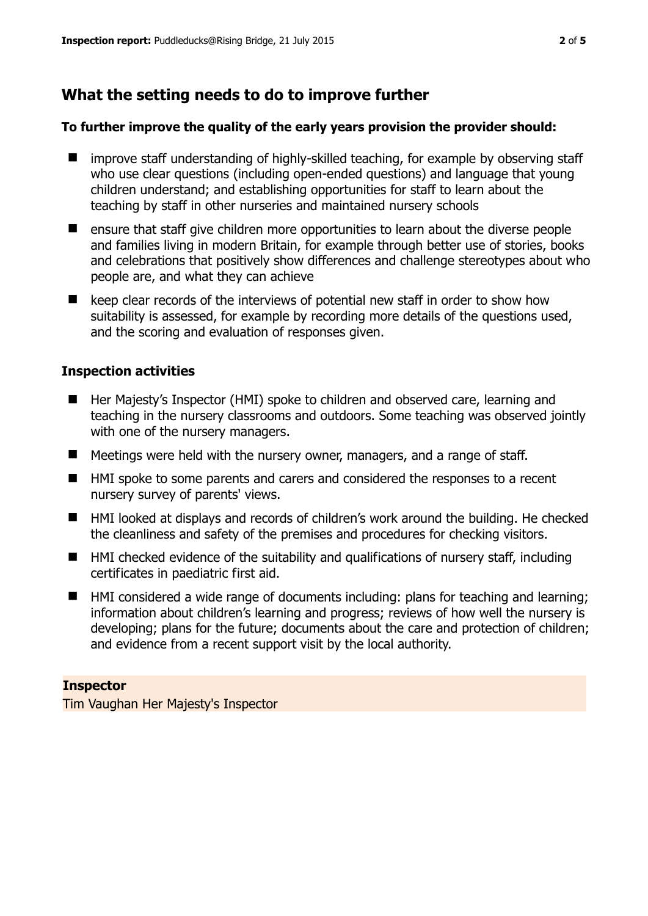# **What the setting needs to do to improve further**

#### **To further improve the quality of the early years provision the provider should:**

- improve staff understanding of highly-skilled teaching, for example by observing staff who use clear questions (including open-ended questions) and language that young children understand; and establishing opportunities for staff to learn about the teaching by staff in other nurseries and maintained nursery schools
- **EXT** ensure that staff give children more opportunities to learn about the diverse people and families living in modern Britain, for example through better use of stories, books and celebrations that positively show differences and challenge stereotypes about who people are, and what they can achieve
- $\blacksquare$  keep clear records of the interviews of potential new staff in order to show how suitability is assessed, for example by recording more details of the questions used, and the scoring and evaluation of responses given.

## **Inspection activities**

- Her Majesty's Inspector (HMI) spoke to children and observed care, learning and teaching in the nursery classrooms and outdoors. Some teaching was observed jointly with one of the nursery managers.
- Meetings were held with the nursery owner, managers, and a range of staff.
- HMI spoke to some parents and carers and considered the responses to a recent nursery survey of parents' views.
- HMI looked at displays and records of children's work around the building. He checked the cleanliness and safety of the premises and procedures for checking visitors.
- HMI checked evidence of the suitability and qualifications of nursery staff, including certificates in paediatric first aid.
- HMI considered a wide range of documents including: plans for teaching and learning; information about children's learning and progress; reviews of how well the nursery is developing; plans for the future; documents about the care and protection of children; and evidence from a recent support visit by the local authority.

#### **Inspector**

Tim Vaughan Her Majesty's Inspector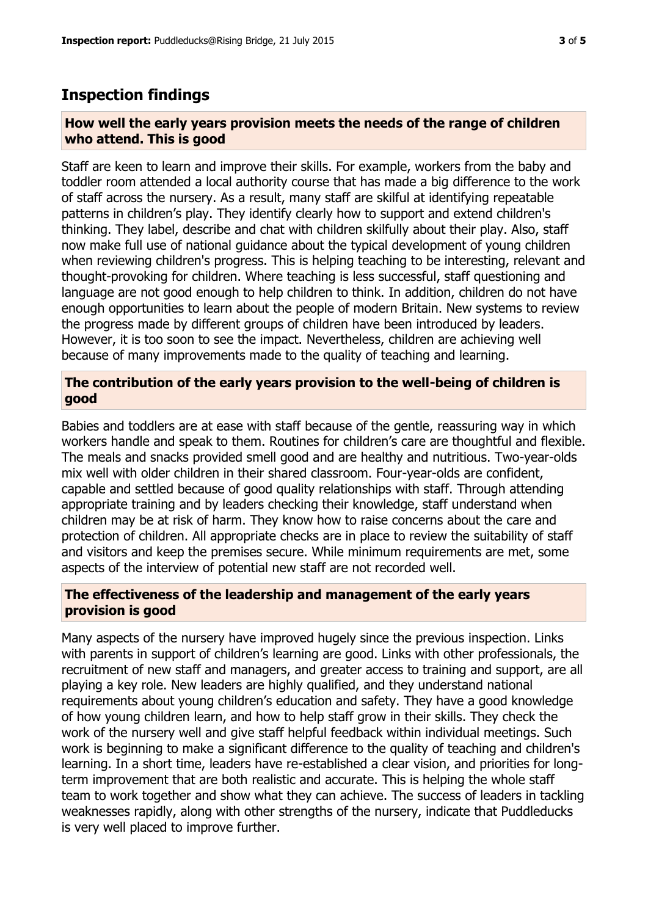# **Inspection findings**

#### **How well the early years provision meets the needs of the range of children who attend. This is good**

Staff are keen to learn and improve their skills. For example, workers from the baby and toddler room attended a local authority course that has made a big difference to the work of staff across the nursery. As a result, many staff are skilful at identifying repeatable patterns in children's play. They identify clearly how to support and extend children's thinking. They label, describe and chat with children skilfully about their play. Also, staff now make full use of national guidance about the typical development of young children when reviewing children's progress. This is helping teaching to be interesting, relevant and thought-provoking for children. Where teaching is less successful, staff questioning and language are not good enough to help children to think. In addition, children do not have enough opportunities to learn about the people of modern Britain. New systems to review the progress made by different groups of children have been introduced by leaders. However, it is too soon to see the impact. Nevertheless, children are achieving well because of many improvements made to the quality of teaching and learning.

## **The contribution of the early years provision to the well-being of children is good**

Babies and toddlers are at ease with staff because of the gentle, reassuring way in which workers handle and speak to them. Routines for children's care are thoughtful and flexible. The meals and snacks provided smell good and are healthy and nutritious. Two-year-olds mix well with older children in their shared classroom. Four-year-olds are confident, capable and settled because of good quality relationships with staff. Through attending appropriate training and by leaders checking their knowledge, staff understand when children may be at risk of harm. They know how to raise concerns about the care and protection of children. All appropriate checks are in place to review the suitability of staff and visitors and keep the premises secure. While minimum requirements are met, some aspects of the interview of potential new staff are not recorded well.

## **The effectiveness of the leadership and management of the early years provision is good**

Many aspects of the nursery have improved hugely since the previous inspection. Links with parents in support of children's learning are good. Links with other professionals, the recruitment of new staff and managers, and greater access to training and support, are all playing a key role. New leaders are highly qualified, and they understand national requirements about young children's education and safety. They have a good knowledge of how young children learn, and how to help staff grow in their skills. They check the work of the nursery well and give staff helpful feedback within individual meetings. Such work is beginning to make a significant difference to the quality of teaching and children's learning. In a short time, leaders have re-established a clear vision, and priorities for longterm improvement that are both realistic and accurate. This is helping the whole staff team to work together and show what they can achieve. The success of leaders in tackling weaknesses rapidly, along with other strengths of the nursery, indicate that Puddleducks is very well placed to improve further.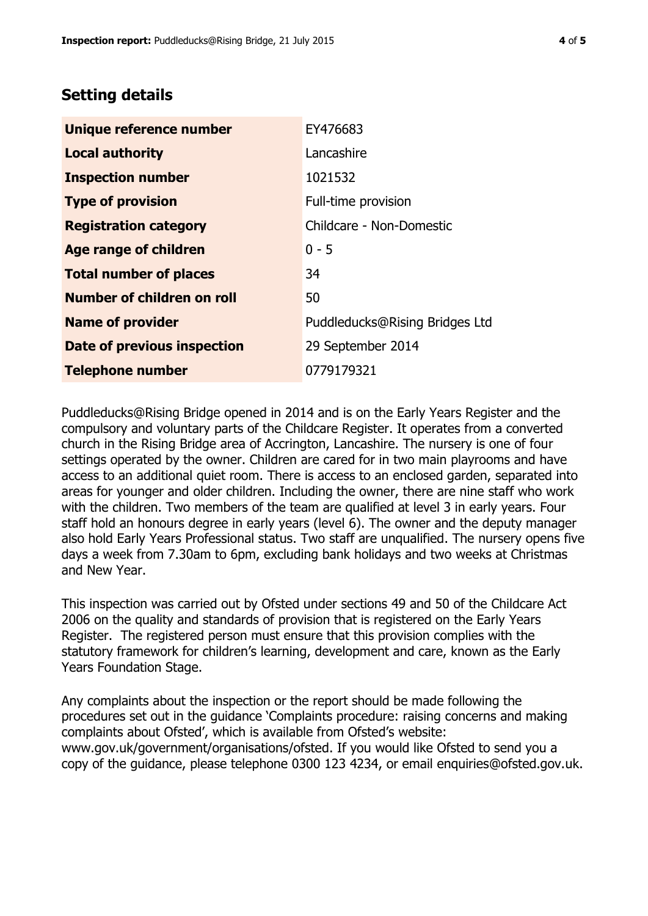# **Setting details**

| Unique reference number       | EY476683                       |  |
|-------------------------------|--------------------------------|--|
| <b>Local authority</b>        | Lancashire                     |  |
| <b>Inspection number</b>      | 1021532                        |  |
| <b>Type of provision</b>      | Full-time provision            |  |
| <b>Registration category</b>  | Childcare - Non-Domestic       |  |
| Age range of children         | $0 - 5$                        |  |
| <b>Total number of places</b> | 34                             |  |
| Number of children on roll    | 50                             |  |
| <b>Name of provider</b>       | Puddleducks@Rising Bridges Ltd |  |
| Date of previous inspection   | 29 September 2014              |  |
| <b>Telephone number</b>       | 0779179321                     |  |

Puddleducks@Rising Bridge opened in 2014 and is on the Early Years Register and the compulsory and voluntary parts of the Childcare Register. It operates from a converted church in the Rising Bridge area of Accrington, Lancashire. The nursery is one of four settings operated by the owner. Children are cared for in two main playrooms and have access to an additional quiet room. There is access to an enclosed garden, separated into areas for younger and older children. Including the owner, there are nine staff who work with the children. Two members of the team are qualified at level 3 in early years. Four staff hold an honours degree in early years (level 6). The owner and the deputy manager also hold Early Years Professional status. Two staff are unqualified. The nursery opens five days a week from 7.30am to 6pm, excluding bank holidays and two weeks at Christmas and New Year.

This inspection was carried out by Ofsted under sections 49 and 50 of the Childcare Act 2006 on the quality and standards of provision that is registered on the Early Years Register. The registered person must ensure that this provision complies with the statutory framework for children's learning, development and care, known as the Early Years Foundation Stage.

Any complaints about the inspection or the report should be made following the procedures set out in the guidance 'Complaints procedure: raising concerns and making complaints about Ofsted', which is available from Ofsted's website: www.gov.uk/government/organisations/ofsted. If you would like Ofsted to send you a copy of the guidance, please telephone 0300 123 4234, or email enquiries@ofsted.gov.uk.